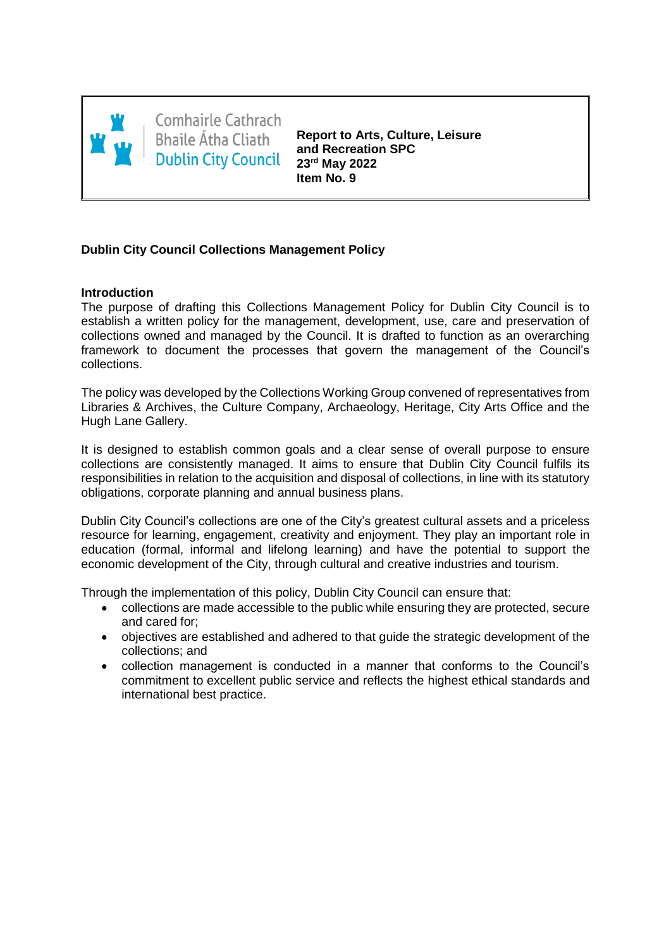

Comhairle Cathrach **Bhaile Átha Cliath Dublin City Council** 

**Report to Arts, Culture, Leisure and Recreation SPC 23rd May 2022 Item No. 9**

## **Dublin City Council Collections Management Policy**

## **Introduction**

The purpose of drafting this Collections Management Policy for Dublin City Council is to establish a written policy for the management, development, use, care and preservation of collections owned and managed by the Council. It is drafted to function as an overarching framework to document the processes that govern the management of the Council's collections.

The policy was developed by the Collections Working Group convened of representatives from Libraries & Archives, the Culture Company, Archaeology, Heritage, City Arts Office and the Hugh Lane Gallery.

It is designed to establish common goals and a clear sense of overall purpose to ensure collections are consistently managed. It aims to ensure that Dublin City Council fulfils its responsibilities in relation to the acquisition and disposal of collections, in line with its statutory obligations, corporate planning and annual business plans.

Dublin City Council's collections are one of the City's greatest cultural assets and a priceless resource for learning, engagement, creativity and enjoyment. They play an important role in education (formal, informal and lifelong learning) and have the potential to support the economic development of the City, through cultural and creative industries and tourism.

Through the implementation of this policy, Dublin City Council can ensure that:

- collections are made accessible to the public while ensuring they are protected, secure and cared for;
- objectives are established and adhered to that guide the strategic development of the collections; and
- collection management is conducted in a manner that conforms to the Council's commitment to excellent public service and reflects the highest ethical standards and international best practice.